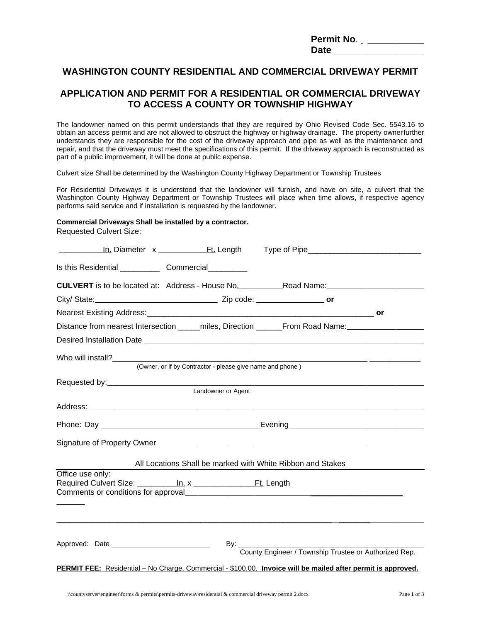| Permit No.  |  |
|-------------|--|
| <b>Date</b> |  |

## **WASHINGTON COUNTY RESIDENTIAL AND COMMERCIAL DRIVEWAY PERMIT**

### **APPLICATION AND PERMIT FOR A RESIDENTIAL OR COMMERCIAL DRIVEWAY TO ACCESS A COUNTY OR TOWNSHIP HIGHWAY**

The landowner named on this permit understands that they are required by Ohio Revised Code Sec. 5543.16 to obtain an access permit and are not allowed to obstruct the highway or highway drainage. The property ownerfurther understands they are responsible for the cost of the driveway approach and pipe as well as the maintenance and repair, and that the driveway must meet the specifications of this permit. If the driveway approach is reconstructed as part of a public improvement, it will be done at public expense.

Culvert size Shall be determined by the Washington County Highway Department or Township Trustees

For Residential Driveways it is understood that the landowner will furnish, and have on site, a culvert that the Washington County Highway Department or Township Trustees will place when time allows, if respective agency performs said service and if installation is requested by the landowner.

#### **Commercial Driveways Shall be installed by a contractor.**

Requested Culvert Size:

| <b>CULVERT</b> is to be located at: Address - House No. Road Name: Road Name:                                |                                                            |  |                                                       |  |  |  |  |
|--------------------------------------------------------------------------------------------------------------|------------------------------------------------------------|--|-------------------------------------------------------|--|--|--|--|
|                                                                                                              |                                                            |  |                                                       |  |  |  |  |
|                                                                                                              |                                                            |  |                                                       |  |  |  |  |
| Distance from nearest Intersection _____miles, Direction ______From Road Name:_____________________          |                                                            |  |                                                       |  |  |  |  |
|                                                                                                              |                                                            |  |                                                       |  |  |  |  |
|                                                                                                              |                                                            |  |                                                       |  |  |  |  |
|                                                                                                              | (Owner, or If by Contractor - please give name and phone)  |  |                                                       |  |  |  |  |
|                                                                                                              |                                                            |  |                                                       |  |  |  |  |
|                                                                                                              | Landowner or Agent                                         |  |                                                       |  |  |  |  |
|                                                                                                              |                                                            |  |                                                       |  |  |  |  |
|                                                                                                              |                                                            |  |                                                       |  |  |  |  |
|                                                                                                              |                                                            |  |                                                       |  |  |  |  |
|                                                                                                              | All Locations Shall be marked with White Ribbon and Stakes |  |                                                       |  |  |  |  |
| Office use only:                                                                                             |                                                            |  |                                                       |  |  |  |  |
|                                                                                                              |                                                            |  |                                                       |  |  |  |  |
|                                                                                                              |                                                            |  |                                                       |  |  |  |  |
|                                                                                                              |                                                            |  |                                                       |  |  |  |  |
| Approved: Date ______________________________                                                                |                                                            |  | County Engineer / Township Trustee or Authorized Rep. |  |  |  |  |
|                                                                                                              |                                                            |  |                                                       |  |  |  |  |
| PERMIT FEE: Residential - No Charge, Commercial - \$100.00. Invoice will be mailed after permit is approved. |                                                            |  |                                                       |  |  |  |  |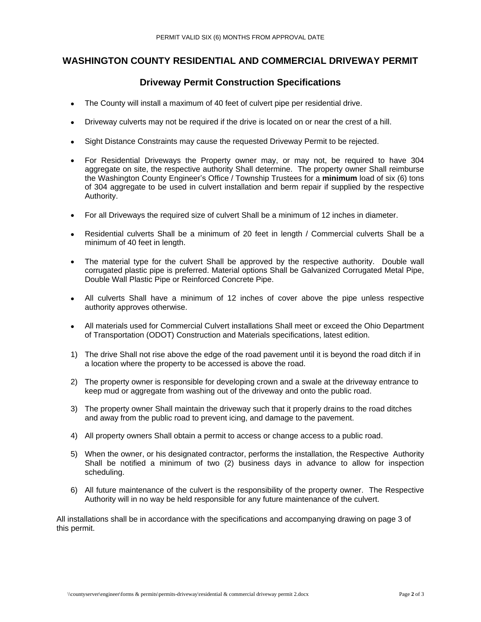## **WASHINGTON COUNTY RESIDENTIAL AND COMMERCIAL DRIVEWAY PERMIT**

# **Driveway Permit Construction Specifications**

- The County will install a maximum of 40 feet of culvert pipe per residential drive.
- Driveway culverts may not be required if the drive is located on or near the crest of a hill.
- Sight Distance Constraints may cause the requested Driveway Permit to be rejected.
- For Residential Driveways the Property owner may, or may not, be required to have 304 aggregate on site, the respective authority Shall determine. The property owner Shall reimburse the Washington County Engineer's Office / Township Trustees for a **minimum** load of six (6) tons of 304 aggregate to be used in culvert installation and berm repair if supplied by the respective Authority.
- For all Driveways the required size of culvert Shall be a minimum of 12 inches in diameter.
- Residential culverts Shall be a minimum of 20 feet in length / Commercial culverts Shall be a minimum of 40 feet in length.
- The material type for the culvert Shall be approved by the respective authority. Double wall corrugated plastic pipe is preferred. Material options Shall be Galvanized Corrugated Metal Pipe, Double Wall Plastic Pipe or Reinforced Concrete Pipe.
- All culverts Shall have a minimum of 12 inches of cover above the pipe unless respective authority approves otherwise.
- All materials used for Commercial Culvert installations Shall meet or exceed the Ohio Department of Transportation (ODOT) Construction and Materials specifications, latest edition.
- 1) The drive Shall not rise above the edge of the road pavement until it is beyond the road ditch if in a location where the property to be accessed is above the road.
- 2) The property owner is responsible for developing crown and a swale at the driveway entrance to keep mud or aggregate from washing out of the driveway and onto the public road.
- 3) The property owner Shall maintain the driveway such that it properly drains to the road ditches and away from the public road to prevent icing, and damage to the pavement.
- 4) All property owners Shall obtain a permit to access or change access to a public road.
- 5) When the owner, or his designated contractor, performs the installation, the Respective Authority Shall be notified a minimum of two (2) business days in advance to allow for inspection scheduling.
- 6) All future maintenance of the culvert is the responsibility of the property owner. The Respective Authority will in no way be held responsible for any future maintenance of the culvert.

All installations shall be in accordance with the specifications and accompanying drawing on page 3 of this permit.